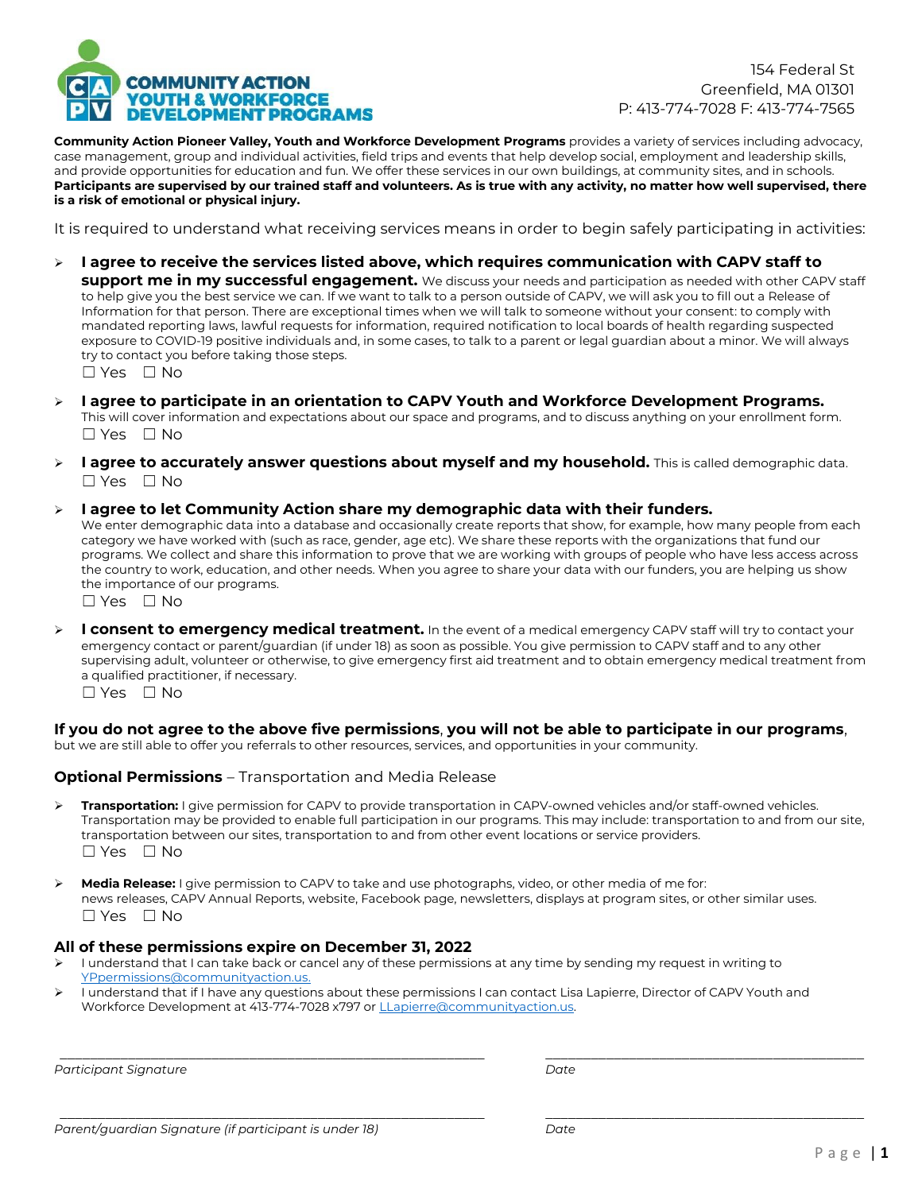

154 Federal St Greenfield, MA 01301 P: 413-774-7028 F: 413-774-7565

**Community Action Pioneer Valley, Youth and Workforce Development Programs** provides a variety of services including advocacy, case management, group and individual activities, field trips and events that help develop social, employment and leadership skills, and provide opportunities for education and fun. We offer these services in our own buildings, at community sites, and in schools. **Participants are supervised by our trained staff and volunteers. As is true with any activity, no matter how well supervised, there is a risk of emotional or physical injury.**

It is required to understand what receiving services means in order to begin safely participating in activities:

- **I agree to receive the services listed above, which requires communication with CAPV staff to support me in my successful engagement.** We discuss your needs and participation as needed with other CAPV staff to help give you the best service we can. If we want to talk to a person outside of CAPV, we will ask you to fill out a Release of Information for that person. There are exceptional times when we will talk to someone without your consent: to comply with mandated reporting laws, lawful requests for information, required notification to local boards of health regarding suspected exposure to COVID-19 positive individuals and, in some cases, to talk to a parent or legal guardian about a minor. We will always try to contact you before taking those steps. ☐ Yes ☐ No
	-
- **I agree to participate in an orientation to CAPV Youth and Workforce Development Programs.** This will cover information and expectations about our space and programs, and to discuss anything on your enrollment form. ☐ Yes ☐ No
- **I agree to accurately answer questions about myself and my household.** This is called demographic data. ☐ Yes ☐ No

#### **I agree to let Community Action share my demographic data with their funders.**

We enter demographic data into a database and occasionally create reports that show, for example, how many people from each category we have worked with (such as race, gender, age etc). We share these reports with the organizations that fund our programs. We collect and share this information to prove that we are working with groups of people who have less access across the country to work, education, and other needs. When you agree to share your data with our funders, you are helping us show the importance of our programs.

☐ Yes ☐ No

 **I consent to emergency medical treatment.** In the event of a medical emergency CAPV staff will try to contact your emergency contact or parent/guardian (if under 18) as soon as possible. You give permission to CAPV staff and to any other supervising adult, volunteer or otherwise, to give emergency first aid treatment and to obtain emergency medical treatment from a qualified practitioner, if necessary.

☐ Yes ☐ No

## **If you do not agree to the above five permissions**, **you will not be able to participate in our programs**,

but we are still able to offer you referrals to other resources, services, and opportunities in your community.

#### **Optional Permissions** – Transportation and Media Release

- **Transportation:** I give permission for CAPV to provide transportation in CAPV-owned vehicles and/or staff-owned vehicles. Transportation may be provided to enable full participation in our programs. This may include: transportation to and from our site, transportation between our sites, transportation to and from other event locations or service providers.  $\Box$  Yes  $\Box$  No
- **Media Release:** I give permission to CAPV to take and use photographs, video, or other media of me for: news releases, CAPV Annual Reports, website, Facebook page, newsletters, displays at program sites, or other similar uses. ☐ Yes ☐ No

#### **All of these permissions expire on December 31, 2022**

- I understand that I can take back or cancel any of these permissions at any time by sending my request in writing to [YPpermissions@communityaction.us.](mailto:YPpermissions@communityaction.us)
- I understand that if I have any questions about these permissions I can contact Lisa Lapierre, Director of CAPV Youth and Workforce Development at 413-774-7028 x797 or [LLapierre@communityaction.us.](mailto:LLapierre@communityaction.us)

*\_\_\_\_\_\_\_\_\_\_\_\_\_\_\_\_\_\_\_\_\_\_\_\_\_\_\_\_\_\_\_\_\_\_\_\_\_\_\_\_\_\_\_\_\_\_\_\_\_\_\_\_\_\_\_\_ \_\_\_\_\_\_\_\_\_\_\_\_\_\_\_\_\_\_\_\_\_\_\_\_\_\_\_\_\_\_\_\_\_\_\_\_\_\_\_\_\_\_*

*\_\_\_\_\_\_\_\_\_\_\_\_\_\_\_\_\_\_\_\_\_\_\_\_\_\_\_\_\_\_\_\_\_\_\_\_\_\_\_\_\_\_\_\_\_\_\_\_\_\_\_\_\_\_\_\_ \_\_\_\_\_\_\_\_\_\_\_\_\_\_\_\_\_\_\_\_\_\_\_\_\_\_\_\_\_\_\_\_\_\_\_\_\_\_\_\_\_\_*

*Participant Signature Date*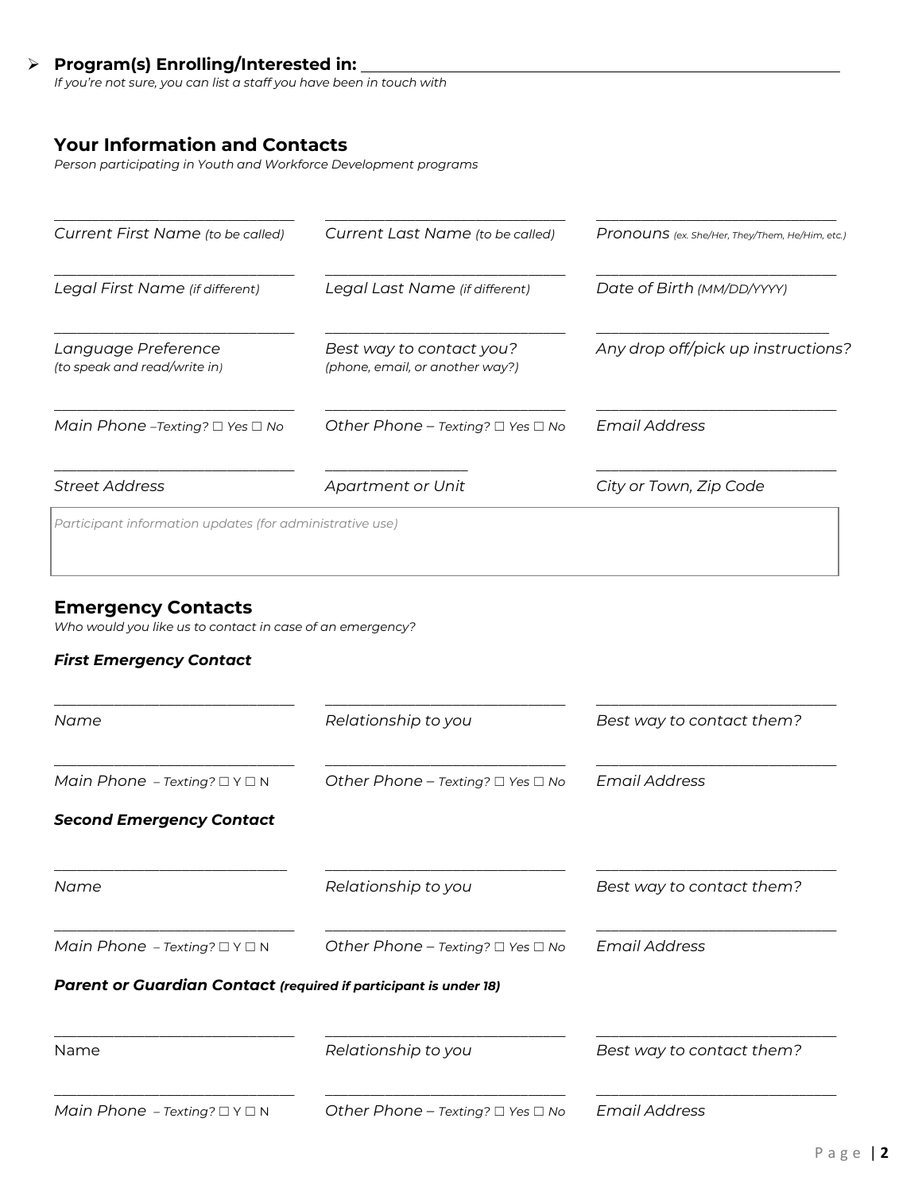# **Program(s) Enrolling/Interested in:**

*If you're not sure, you can list a staff you have been in touch with*

# **Your Information and Contacts**

*Person participating in Youth and Workforce Development programs*

| Current First Name (to be called)                        | Current Last Name (to be called)                            | Pronouns (ex. She/Her, They/Them, He/Him, etc.) |
|----------------------------------------------------------|-------------------------------------------------------------|-------------------------------------------------|
| Legal First Name (if different)                          | Legal Last Name (if different)                              | Date of Birth (MM/DD/YYYY)                      |
| Language Preference<br>(to speak and read/write in)      | Best way to contact you?<br>(phone, email, or another way?) | Any drop off/pick up instructions?              |
| Main Phone –Texting? $\Box$ Yes $\Box$ No                | Other Phone – Texting? $\Box$ Yes $\Box$ No                 | Email Address                                   |
| <b>Street Address</b>                                    | Apartment or Unit                                           | City or Town, Zip Code                          |
| Participant information updates (for administrative use) |                                                             |                                                 |

# **Emergency Contacts**

*Who would you like us to contact in case of an emergency?*

# *First Emergency Contact*

| Name                                                             | Relationship to you                         | Best way to contact them? |
|------------------------------------------------------------------|---------------------------------------------|---------------------------|
| Main Phone - Texting? $\Box$ Y $\Box$ N                          | Other Phone - Texting? $\Box$ Yes $\Box$ No | <b>Email Address</b>      |
| <b>Second Emergency Contact</b>                                  |                                             |                           |
| Name                                                             | Relationship to you                         | Best way to contact them? |
| Main Phone - Texting? $\Box$ Y $\Box$ N                          | Other Phone - Texting? $\Box$ Yes $\Box$ No | <b>Email Address</b>      |
| Parent or Guardian Contact (required if participant is under 18) |                                             |                           |
| Name                                                             | Relationship to you                         | Best way to contact them? |
| Main Phone - Texting? $\Box$ Y $\Box$ N                          | Other Phone - Texting? $\Box$ Yes $\Box$ No | <b>Email Address</b>      |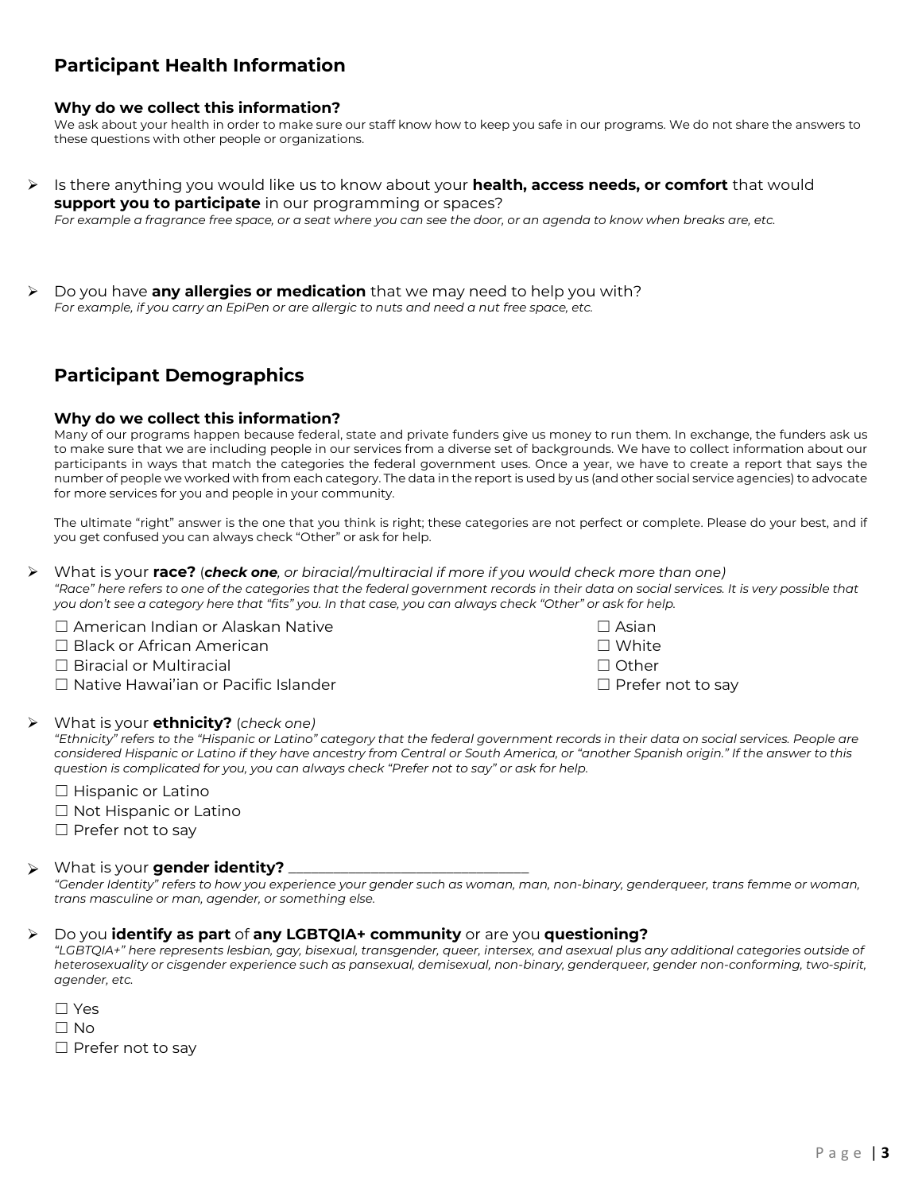# **Participant Health Information**

### **Why do we collect this information?**

We ask about your health in order to make sure our staff know how to keep you safe in our programs. We do not share the answers to these questions with other people or organizations.

 Is there anything you would like us to know about your **health, access needs, or comfort** that would **support you to participate** in our programming or spaces?

*For example a fragrance free space, or a seat where you can see the door, or an agenda to know when breaks are, etc.*

 Do you have **any allergies or medication** that we may need to help you with? *For example, if you carry an EpiPen or are allergic to nuts and need a nut free space, etc.*

# **Participant Demographics**

#### **Why do we collect this information?**

Many of our programs happen because federal, state and private funders give us money to run them. In exchange, the funders ask us to make sure that we are including people in our services from a diverse set of backgrounds. We have to collect information about our participants in ways that match the categories the federal government uses. Once a year, we have to create a report that says the number of people we worked with from each category. The data in the report is used by us (and other social service agencies) to advocate for more services for you and people in your community.

The ultimate "right" answer is the one that you think is right; these categories are not perfect or complete. Please do your best, and if you get confused you can always check "Other" or ask for help.

 What is your **race?** (*check one, or biracial/multiracial if more if you would check more than one) "Race" here refers to one of the categories that the federal government records in their data on social services. It is very possible that you don't see a category here that "fits" you. In that case, you can always check "Other" or ask for help.*

□ American Indian or Alaskan Native □ Black or African American ☐ Biracial or Multiracial ☐ Other ☐ Native Hawai'ian or Pacific Islander ☐ Prefer not to say

| $\Box$ Asian |  |
|--------------|--|
| $\Box$ White |  |
| $\Box$ Othor |  |

#### What is your **ethnicity?** (*check one)*

*"Ethnicity" refers to the "Hispanic or Latino" category that the federal government records in their data on social services. People are*  considered Hispanic or Latino if they have ancestry from Central or South America, or "another Spanish origin." If the answer to this *question is complicated for you, you can always check "Prefer not to say" or ask for help.*

☐ Hispanic or Latino

☐ Not Hispanic or Latino

□ Prefer not to say

#### What is your **gender identity?**  $\blacktriangleright$

*"Gender Identity" refers to how you experience your gender such as woman, man, non-binary, genderqueer, trans femme or woman, trans masculine or man, agender, or something else.*

#### Do you **identify as part** of **any LGBTQIA+ community** or are you **questioning?**

*"LGBTQIA+" here represents lesbian, gay, bisexual, transgender, queer, intersex, and asexual plus any additional categories outside of heterosexuality or cisgender experience such as pansexual, demisexual, non-binary, genderqueer, gender non-conforming, two-spirit, agender, etc.*

| $\Box$ Yes               |
|--------------------------|
| $\Box$ No                |
| $\Box$ Prefer not to say |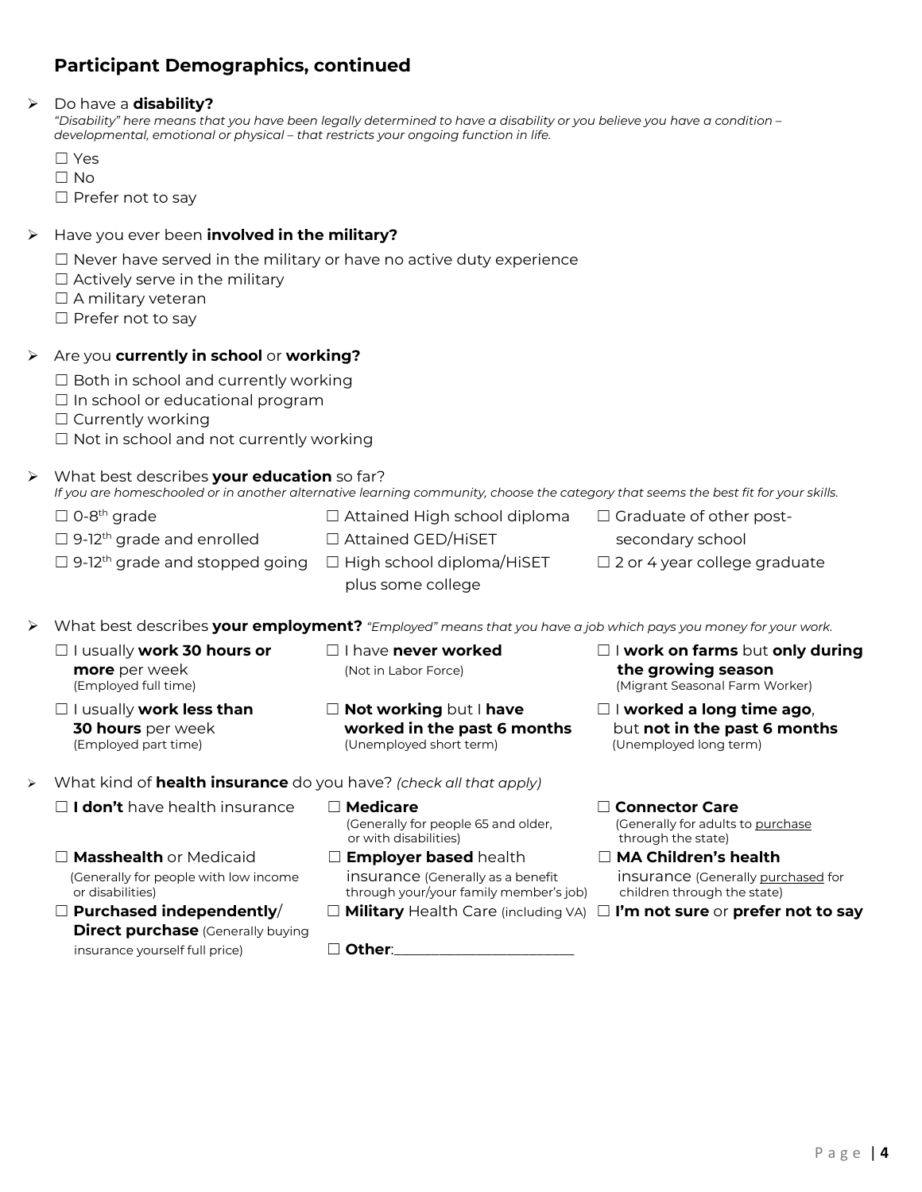# **Participant Demographics, continued**

#### Do have a **disability?**

*"Disability" here means that you have been legally determined to have a disability or you believe you have a condition – developmental, emotional or physical – that restricts your ongoing function in life.*

- ☐ Yes
- ☐ No

□ Prefer not to say

## Have you ever been **involved in the military?**

- $\Box$  Never have served in the military or have no active duty experience
- $\Box$  Actively serve in the military
- □ A military veteran
- □ Prefer not to say

## Are you **currently in school** or **working?**

- $\Box$  Both in school and currently working
- $\Box$  In school or educational program
- ☐ Currently working
- ☐ Not in school and not currently working

## What best describes **your education** so far?

#### *If you are homeschooled or in another alternative learning community, choose the category that seems the best fit for your skills.*

- $\Box$  0-8<sup>th</sup> arade  $\Box$  Attained High school diploma  $\Box$  Graduate of other post-
	- □ 9-12<sup>th</sup> grade and enrolled □ Attained GED/HiSET secondary school
		-
- 
- □ 9-12<sup>th</sup> grade and stopped going □ High school diploma/HiSET □ 2 or 4 year college graduate
	- plus some college
- What best describes **your employment?** *"Employed" means that you have a job which pays you money for your work.*
	- **more** per week **and the season** (Not in Labor Force) **the growing season**
- -
	- ☐ I usually **work less than** ☐ **Not working** but I **have** ☐ I **worked a long time ago**, (Unemployed short term)
	- ☐ I usually **work 30 hours or** ☐ I have **never worked** ☐ I **work on farms** but **only during** (Employed full time) (Migrant Seasonal Farm Worker)
		- **30 hours** per week **worked in the past 6 months** but **not in the past 6 months**
- What kind of **health insurance** do you have? *(check all that apply)*
	- ☐ **I don't** have health insurance ☐ **Medicare** ☐ **Connector Care**
	- ☐ **Masshealth** or Medicaid ☐ **Employer based** health ☐ **MA Children's health**
	- **Direct purchase** (Generally buying insurance yourself full price) □ **□ Other**:
- (Generally for people 65 and older, (Generally for adults to purchase<br>or with disabilities) through the state) or with disabilities)
- (Generally for people with low income insurance (Generally as a benefit insurance (Generally purchased for or disabilities) through your/your family member's job) children through the state)
	-

- 
- ☐ **Purchased independently**/ ☐ **Military** Health Care (including VA) ☐ **I'm not sure** or **prefer not to say**